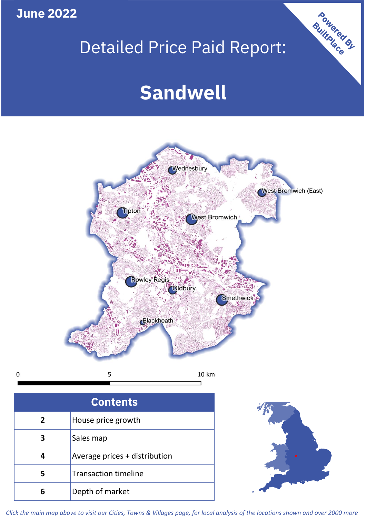**June 2022**

**5**

**4**

# Detailed Price Paid Report:

Powered By

# **Sandwell**



*Click the main map above to visit our Cities, Towns & Villages page, for local analysis of the locations shown and over 2000 more*

Average prices + distribution

Transaction timeline

**6** Depth of market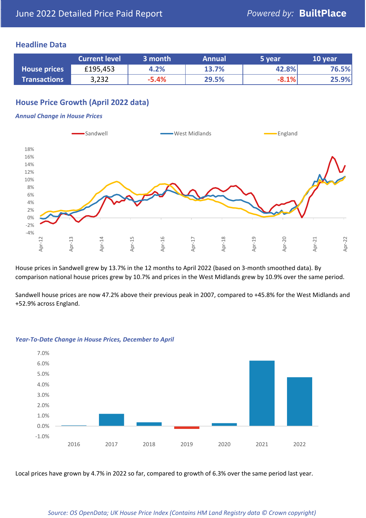## **Headline Data**

|                     | <b>Current level</b> | 3 month | <b>Annual</b> | 5 year  | 10 year |
|---------------------|----------------------|---------|---------------|---------|---------|
| <b>House prices</b> | £195,453             | 4.2%    | 13.7%         | 42.8%   | 76.5%   |
| <b>Transactions</b> | 3,232                | $-5.4%$ | 29.5%         | $-8.1%$ | 25.9%   |

## **House Price Growth (April 2022 data)**

#### *Annual Change in House Prices*



House prices in Sandwell grew by 13.7% in the 12 months to April 2022 (based on 3-month smoothed data). By comparison national house prices grew by 10.7% and prices in the West Midlands grew by 10.9% over the same period.

Sandwell house prices are now 47.2% above their previous peak in 2007, compared to +45.8% for the West Midlands and +52.9% across England.



#### *Year-To-Date Change in House Prices, December to April*

Local prices have grown by 4.7% in 2022 so far, compared to growth of 6.3% over the same period last year.

#### *Source: OS OpenData; UK House Price Index (Contains HM Land Registry data © Crown copyright)*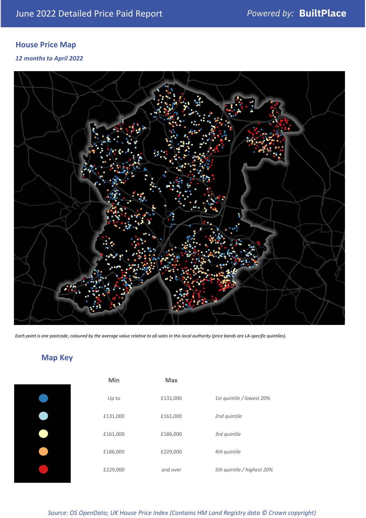# **House Price Map**

### *12 months to April 2022*



*Each point is one postcode, coloured by the average value relative to all sales in this local authority (price bands are LA-specific quintiles).*

# **Map Key**

| Min      | Max      |                            |
|----------|----------|----------------------------|
| Up to    | £131,000 | 1st quintile / lowest 20%  |
| £131,000 | £161,000 | 2nd quintile               |
| £161,000 | £186,000 | 3rd quintile               |
| £186,000 | £229,000 | 4th quintile               |
| £229,000 | and over | 5th quintile / highest 20% |

*Source: OS OpenData; UK House Price Index (Contains HM Land Registry data © Crown copyright)*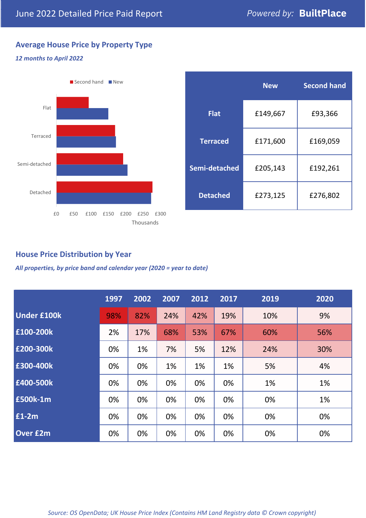## **Average House Price by Property Type**

### *12 months to April 2022*



|                 | <b>New</b> | <b>Second hand</b> |  |  |
|-----------------|------------|--------------------|--|--|
| <b>Flat</b>     | £149,667   | £93,366            |  |  |
| <b>Terraced</b> | £171,600   | £169,059           |  |  |
| Semi-detached   | £205,143   | £192,261           |  |  |
| <b>Detached</b> | £273,125   | £276,802           |  |  |

## **House Price Distribution by Year**

*All properties, by price band and calendar year (2020 = year to date)*

|                    | 1997 | 2002 | 2007 | 2012 | 2017 | 2019 | 2020 |
|--------------------|------|------|------|------|------|------|------|
| <b>Under £100k</b> | 98%  | 82%  | 24%  | 42%  | 19%  | 10%  | 9%   |
| £100-200k          | 2%   | 17%  | 68%  | 53%  | 67%  | 60%  | 56%  |
| £200-300k          | 0%   | 1%   | 7%   | 5%   | 12%  | 24%  | 30%  |
| £300-400k          | 0%   | 0%   | 1%   | 1%   | 1%   | 5%   | 4%   |
| £400-500k          | 0%   | 0%   | 0%   | 0%   | 0%   | 1%   | 1%   |
| £500k-1m           | 0%   | 0%   | 0%   | 0%   | 0%   | 0%   | 1%   |
| £1-2m              | 0%   | 0%   | 0%   | 0%   | 0%   | 0%   | 0%   |
| <b>Over £2m</b>    | 0%   | 0%   | 0%   | 0%   | 0%   | 0%   | 0%   |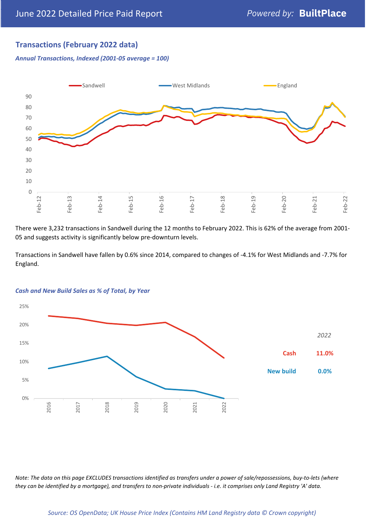## **Transactions (February 2022 data)**

*Annual Transactions, Indexed (2001-05 average = 100)*



There were 3,232 transactions in Sandwell during the 12 months to February 2022. This is 62% of the average from 2001- 05 and suggests activity is significantly below pre-downturn levels.

Transactions in Sandwell have fallen by 0.6% since 2014, compared to changes of -4.1% for West Midlands and -7.7% for England.



#### *Cash and New Build Sales as % of Total, by Year*

*Note: The data on this page EXCLUDES transactions identified as transfers under a power of sale/repossessions, buy-to-lets (where they can be identified by a mortgage), and transfers to non-private individuals - i.e. it comprises only Land Registry 'A' data.*